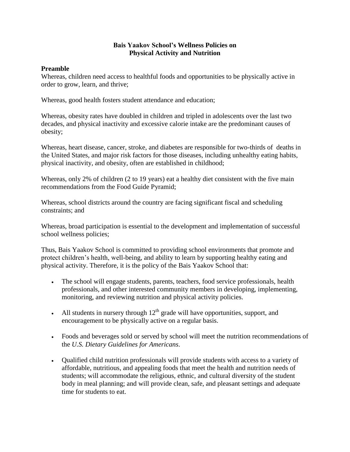#### **Bais Yaakov School's Wellness Policies on Physical Activity and Nutrition**

#### **Preamble**

Whereas, children need access to healthful foods and opportunities to be physically active in order to grow, learn, and thrive;

Whereas, good health fosters student attendance and education;

Whereas, obesity rates have doubled in children and tripled in adolescents over the last two decades, and physical inactivity and excessive calorie intake are the predominant causes of obesity;

Whereas, heart disease, cancer, stroke, and diabetes are responsible for two-thirds of deaths in the United States, and major risk factors for those diseases, including unhealthy eating habits, physical inactivity, and obesity, often are established in childhood;

Whereas, only 2% of children (2 to 19 years) eat a healthy diet consistent with the five main recommendations from the Food Guide Pyramid;

Whereas, school districts around the country are facing significant fiscal and scheduling constraints; and

Whereas, broad participation is essential to the development and implementation of successful school wellness policies;

Thus, Bais Yaakov School is committed to providing school environments that promote and protect children's health, well-being, and ability to learn by supporting healthy eating and physical activity. Therefore, it is the policy of the Bais Yaakov School that:

- The school will engage students, parents, teachers, food service professionals, health professionals, and other interested community members in developing, implementing, monitoring, and reviewing nutrition and physical activity policies.
- All students in nursery through  $12<sup>th</sup>$  grade will have opportunities, support, and encouragement to be physically active on a regular basis.
- Foods and beverages sold or served by school will meet the nutrition recommendations of the *U.S. Dietary Guidelines for Americans*.
- Qualified child nutrition professionals will provide students with access to a variety of affordable, nutritious, and appealing foods that meet the health and nutrition needs of students; will accommodate the religious, ethnic, and cultural diversity of the student body in meal planning; and will provide clean, safe, and pleasant settings and adequate time for students to eat.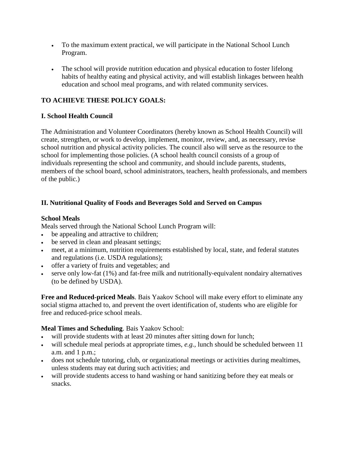- To the maximum extent practical, we will participate in the National School Lunch Program.
- The school will provide nutrition education and physical education to foster lifelong habits of healthy eating and physical activity, and will establish linkages between health education and school meal programs, and with related community services.

# **TO ACHIEVE THESE POLICY GOALS:**

## **I. School Health Council**

The Administration and Volunteer Coordinators (hereby known as School Health Council) will create, strengthen, or work to develop, implement, monitor, review, and, as necessary, revise school nutrition and physical activity policies. The council also will serve as the resource to the school for implementing those policies. (A school health council consists of a group of individuals representing the school and community, and should include parents, students, members of the school board, school administrators, teachers, health professionals, and members of the public.)

## **II. Nutritional Quality of Foods and Beverages Sold and Served on Campus**

### **School Meals**

Meals served through the National School Lunch Program will:

- be appealing and attractive to children;
- be served in clean and pleasant settings;
- meet, at a minimum, nutrition requirements established by local, state, and federal statutes and regulations (i.e. USDA regulations);
- offer a variety of fruits and vegetables; and
- serve only low-fat (1%) and fat-free milk and nutritionally-equivalent nondairy alternatives (to be defined by USDA).

**Free and Reduced-priced Meals**. Bais Yaakov School will make every effort to eliminate any social stigma attached to, and prevent the overt identification of, students who are eligible for free and reduced-price school meals.

### **Meal Times and Scheduling**. Bais Yaakov School:

- will provide students with at least 20 minutes after sitting down for lunch;
- will schedule meal periods at appropriate times, *e.g.,* lunch should be scheduled between 11 a.m. and 1 p.m.;
- does not schedule tutoring, club, or organizational meetings or activities during mealtimes, unless students may eat during such activities; and
- will provide students access to hand washing or hand sanitizing before they eat meals or snacks.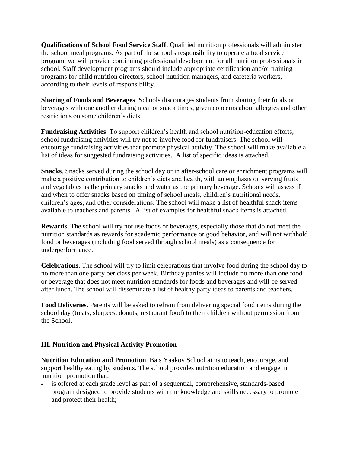**Qualifications of School Food Service Staff**. Qualified nutrition professionals will administer the school meal programs. As part of the school's responsibility to operate a food service program, we will provide continuing professional development for all nutrition professionals in school. Staff development programs should include appropriate certification and/or training programs for child nutrition directors, school nutrition managers, and cafeteria workers, according to their levels of responsibility.

**Sharing of Foods and Beverages**. Schools discourages students from sharing their foods or beverages with one another during meal or snack times, given concerns about allergies and other restrictions on some children's diets.

**Fundraising Activities**. To support children's health and school nutrition-education efforts, school fundraising activities will try not to involve food for fundraisers. The school will encourage fundraising activities that promote physical activity. The school will make available a list of ideas for suggested fundraising activities. A list of specific ideas is attached.

**Snacks**. Snacks served during the school day or in after-school care or enrichment programs will make a positive contribution to children's diets and health, with an emphasis on serving fruits and vegetables as the primary snacks and water as the primary beverage. Schools will assess if and when to offer snacks based on timing of school meals, children's nutritional needs, children's ages, and other considerations. The school will make a list of healthful snack items available to teachers and parents. A list of examples for healthful snack items is attached.

**Rewards**. The school will try not use foods or beverages, especially those that do not meet the nutrition standards as rewards for academic performance or good behavior, and will not withhold food or beverages (including food served through school meals) as a consequence for underperformance.

**Celebrations**. The school will try to limit celebrations that involve food during the school day to no more than one party per class per week. Birthday parties will include no more than one food or beverage that does not meet nutrition standards for foods and beverages and will be served after lunch. The school will disseminate a list of healthy party ideas to parents and teachers.

**Food Deliveries.** Parents will be asked to refrain from delivering special food items during the school day (treats, slurpees, donuts, restaurant food) to their children without permission from the School.

### **III. Nutrition and Physical Activity Promotion**

**Nutrition Education and Promotion**. Bais Yaakov School aims to teach, encourage, and support healthy eating by students. The school provides nutrition education and engage in nutrition promotion that:

 is offered at each grade level as part of a sequential, comprehensive, standards-based program designed to provide students with the knowledge and skills necessary to promote and protect their health;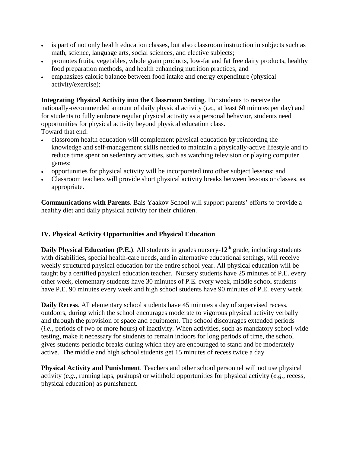- is part of not only health education classes, but also classroom instruction in subjects such as math, science, language arts, social sciences, and elective subjects;
- promotes fruits, vegetables, whole grain products, low-fat and fat free dairy products, healthy food preparation methods, and health enhancing nutrition practices; and
- emphasizes caloric balance between food intake and energy expenditure (physical activity/exercise);

**Integrating Physical Activity into the Classroom Setting**. For students to receive the nationally-recommended amount of daily physical activity (*i.e.,* at least 60 minutes per day) and for students to fully embrace regular physical activity as a personal behavior, students need opportunities for physical activity beyond physical education class. Toward that end:

- classroom health education will complement physical education by reinforcing the knowledge and self-management skills needed to maintain a physically-active lifestyle and to reduce time spent on sedentary activities, such as watching television or playing computer games;
- opportunities for physical activity will be incorporated into other subject lessons; and
- Classroom teachers will provide short physical activity breaks between lessons or classes, as appropriate.

**Communications with Parents**. Bais Yaakov School will support parents' efforts to provide a healthy diet and daily physical activity for their children.

## **IV. Physical Activity Opportunities and Physical Education**

**Daily Physical Education (P.E.)**. All students in grades nursery- $12<sup>th</sup>$  grade, including students with disabilities, special health-care needs, and in alternative educational settings, will receive weekly structured physical education for the entire school year. All physical education will be taught by a certified physical education teacher. Nursery students have 25 minutes of P.E. every other week, elementary students have 30 minutes of P.E. every week, middle school students have P.E. 90 minutes every week and high school students have 90 minutes of P.E. every week.

**Daily Recess**. All elementary school students have 45 minutes a day of supervised recess, outdoors, during which the school encourages moderate to vigorous physical activity verbally and through the provision of space and equipment. The school discourages extended periods (*i.e.,* periods of two or more hours) of inactivity. When activities, such as mandatory school-wide testing, make it necessary for students to remain indoors for long periods of time, the school gives students periodic breaks during which they are encouraged to stand and be moderately active. The middle and high school students get 15 minutes of recess twice a day.

**Physical Activity and Punishment**. Teachers and other school personnel will not use physical activity (*e.g.,* running laps, pushups) or withhold opportunities for physical activity (*e.g.,* recess, physical education) as punishment.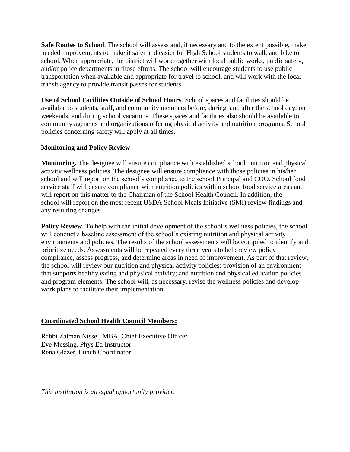**Safe Routes to School**. The school will assess and, if necessary and to the extent possible, make needed improvements to make it safer and easier for High School students to walk and bike to school. When appropriate, the district will work together with local public works, public safety, and/or police departments in those efforts. The school will encourage students to use public transportation when available and appropriate for travel to school, and will work with the local transit agency to provide transit passes for students.

**Use of School Facilities Outside of School Hours**. School spaces and facilities should be available to students, staff, and community members before, during, and after the school day, on weekends, and during school vacations. These spaces and facilities also should be available to community agencies and organizations offering physical activity and nutrition programs. School policies concerning safety will apply at all times.

### **Monitoring and Policy Review**

**Monitoring.** The designee will ensure compliance with established school nutrition and physical activity wellness policies. The designee will ensure compliance with those policies in his/her school and will report on the school's compliance to the school Principal and COO. School food service staff will ensure compliance with nutrition policies within school food service areas and will report on this matter to the Chairman of the School Health Council. In addition, the school will report on the most recent USDA School Meals Initiative (SMI) review findings and any resulting changes.

**Policy Review**. To help with the initial development of the school's wellness policies, the school will conduct a baseline assessment of the school's existing nutrition and physical activity environments and policies. The results of the school assessments will be compiled to identify and prioritize needs. Assessments will be repeated every three years to help review policy compliance, assess progress, and determine areas in need of improvement. As part of that review, the school will review our nutrition and physical activity policies; provision of an environment that supports healthy eating and physical activity; and nutrition and physical education policies and program elements. The school will, as necessary, revise the wellness policies and develop work plans to facilitate their implementation.

### **Coordinated School Health Council Members:**

Rabbi Zalman Nissel, MBA, Chief Executive Officer Eve Messing, Phys Ed Instructor Rena Glazer, Lunch Coordinator

*This institution is an equal opportunity provider.*